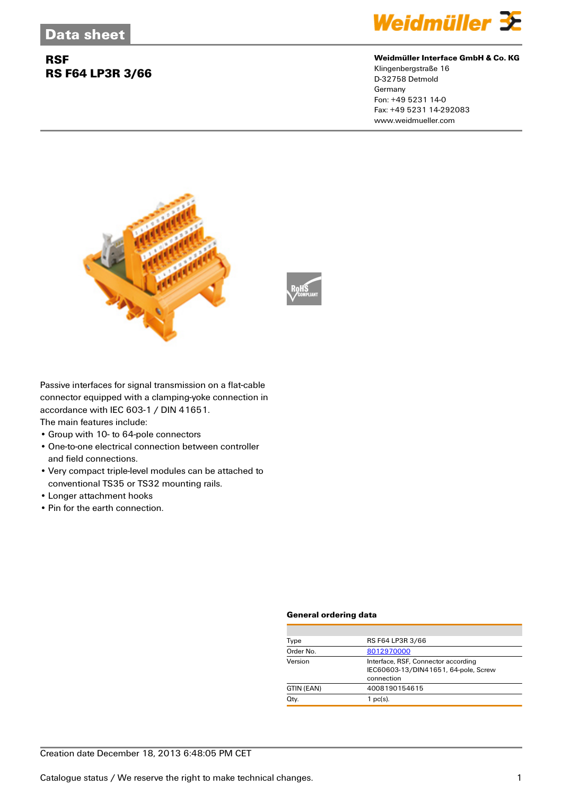## **RSF RS F64 LP3R 3/66**



#### **Weidmüller Interface GmbH & Co. KG**

Klingenbergstraße 16 D-32758 Detmold Germany Fon: +49 5231 14-0 Fax: +49 5231 14-292083 www.weidmueller.com



Passive interfaces for signal transmission on a flat-cable connector equipped with a clamping-yoke connection in accordance with IEC 603-1 / DIN 41651.

The main features include:

- Group with 10- to 64-pole connectors
- One-to-one electrical connection between controller and field connections.
- Very compact triple-level modules can be attached to conventional TS35 or TS32 mounting rails.
- Longer attachment hooks
- Pin for the earth connection.

#### **General ordering data**

| Type       | RS F64 LP3R 3/66                                                                          |
|------------|-------------------------------------------------------------------------------------------|
| Order No.  | 8012970000                                                                                |
| Version    | Interface, RSF, Connector according<br>IEC60603-13/DIN41651, 64-pole, Screw<br>connection |
| GTIN (EAN) | 4008190154615                                                                             |
| Qty.       | $1$ pc(s).                                                                                |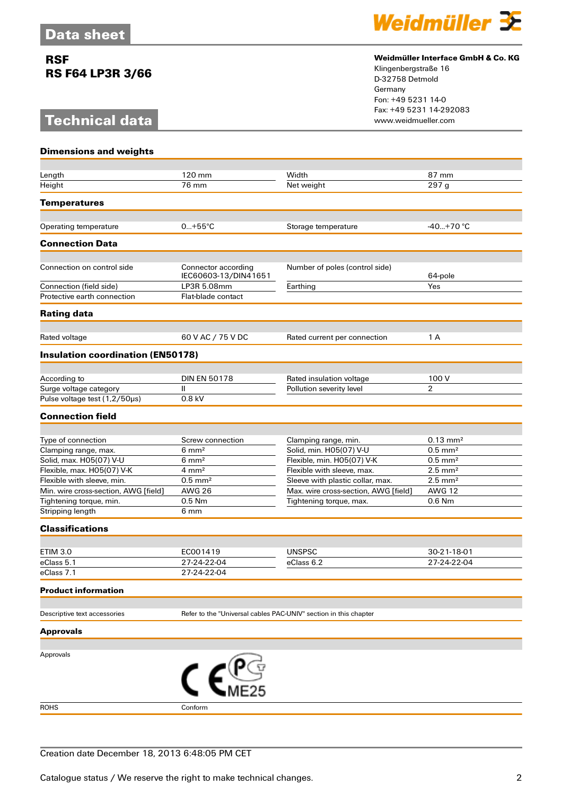## **RSF RS F64 LP3R 3/66**

# **Technical data**



#### **Weidmüller Interface GmbH & Co. KG**

Klingenbergstraße 16 D-32758 Detmold Germany Fon: +49 5231 14-0 Fax: +49 5231 14-292083

| <b>Dimensions and weights</b>            |                                             |                                                                  |                            |
|------------------------------------------|---------------------------------------------|------------------------------------------------------------------|----------------------------|
| Length                                   | 120 mm                                      | Width                                                            | 87 mm                      |
| Height                                   | 76 mm                                       | Net weight                                                       | 297 <sub>q</sub>           |
| <b>Temperatures</b>                      |                                             |                                                                  |                            |
| Operating temperature                    | $0+55^{\circ}C$                             | Storage temperature                                              | $-40+70$ °C                |
| <b>Connection Data</b>                   |                                             |                                                                  |                            |
|                                          |                                             |                                                                  |                            |
| Connection on control side               | Connector according<br>IEC60603-13/DIN41651 | Number of poles (control side)                                   | 64-pole                    |
| Connection (field side)                  | LP3R 5.08mm                                 | Earthing                                                         | Yes                        |
| Protective earth connection              | Flat-blade contact                          |                                                                  |                            |
| <b>Rating data</b>                       |                                             |                                                                  |                            |
| Rated voltage                            | 60 V AC / 75 V DC                           | Rated current per connection                                     | 1 A                        |
| <b>Insulation coordination (EN50178)</b> |                                             |                                                                  |                            |
|                                          |                                             |                                                                  |                            |
| According to                             | <b>DIN EN 50178</b>                         | Rated insulation voltage                                         | 100 V                      |
| Surge voltage category                   | Ш                                           | Pollution severity level                                         | $\overline{2}$             |
| Pulse voltage test (1,2/50µs)            | 0.8 kV                                      |                                                                  |                            |
| <b>Connection field</b>                  |                                             |                                                                  |                            |
| Type of connection                       | Screw connection                            | Clamping range, min.                                             | $0.13 \, \text{mm}^2$      |
| Clamping range, max.                     | $6 \text{ mm}^2$                            | Solid, min. H05(07) V-U                                          | $0.5$ mm <sup>2</sup>      |
| Solid, max. H05(07) V-U                  | $6 \text{ mm}^2$                            | Flexible, min. H05(07) V-K                                       | $0.5$ mm <sup>2</sup>      |
| Flexible, max. H05(07) V-K               | $4 \text{ mm}^2$                            | Flexible with sleeve, max.                                       | $2.5$ mm <sup>2</sup>      |
| Flexible with sleeve, min.               | $0.5$ mm <sup>2</sup>                       | Sleeve with plastic collar, max.                                 | $2.5$ mm <sup>2</sup>      |
| Min. wire cross-section, AWG [field]     | <b>AWG 26</b>                               | Max. wire cross-section, AWG [field]                             | <b>AWG 12</b>              |
| Tightening torque, min.                  | 0.5 Nm                                      | Tightening torque, max.                                          | 0.6 Nm                     |
| Stripping length                         | 6 mm                                        |                                                                  |                            |
| <b>Classifications</b>                   |                                             |                                                                  |                            |
| <b>ETIM 3.0</b>                          |                                             |                                                                  |                            |
| eClass 5.1                               | EC001419<br>27-24-22-04                     | <b>UNSPSC</b><br>eClass 6.2                                      | 30-21-18-01<br>27-24-22-04 |
| eClass 7.1                               | 27-24-22-04                                 |                                                                  |                            |
| <b>Product information</b>               |                                             |                                                                  |                            |
|                                          |                                             |                                                                  |                            |
| Descriptive text accessories             |                                             | Refer to the "Universal cables PAC-UNIV" section in this chapter |                            |
| <b>Approvals</b>                         |                                             |                                                                  |                            |
| Approvals                                |                                             |                                                                  |                            |
|                                          |                                             |                                                                  |                            |
| <b>ROHS</b>                              | Conform                                     |                                                                  |                            |
|                                          |                                             |                                                                  |                            |

#### Creation date December 18, 2013 6:48:05 PM CET